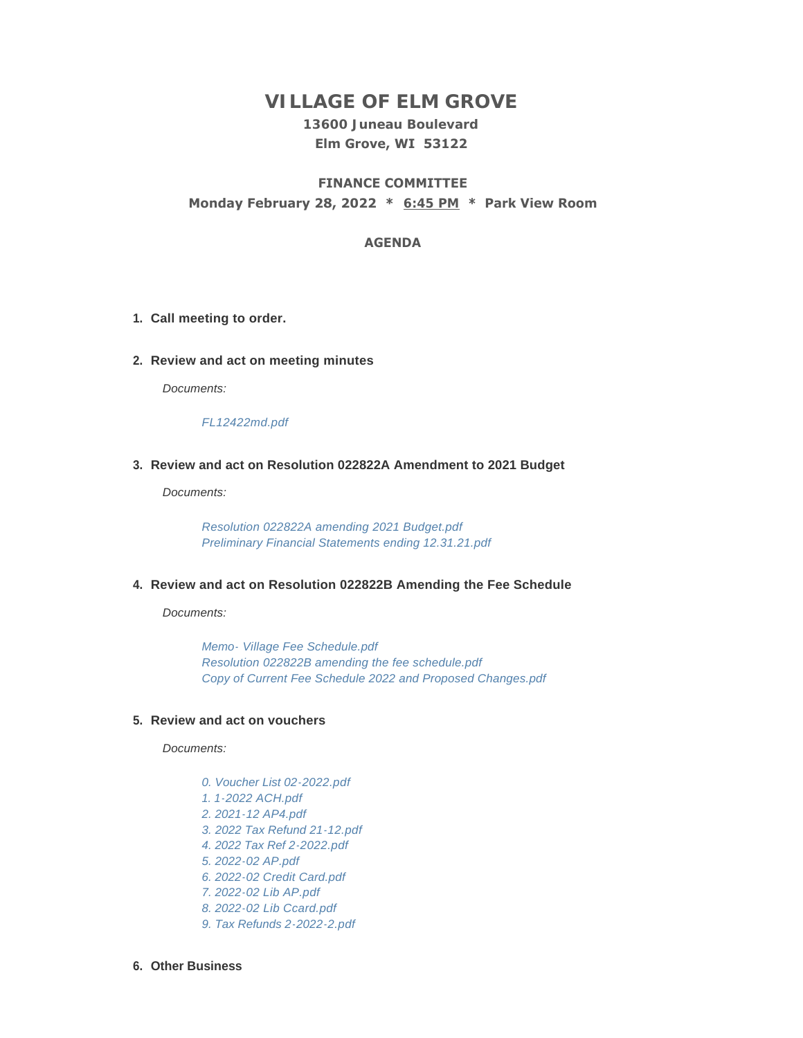# **VILLAGE OF ELM GROVE**

## **13600 Juneau Boulevard Elm Grove, WI 53122**

## **FINANCE COMMITTEE Monday February 28, 2022 \* 6:45 PM \* Park View Room**

#### **AGENDA**

- **Call meeting to order. 1.**
- **Review and act on meeting minutes 2.**

*Documents:*

*[FL12422md.pdf](https://elmgrovewi.org/AgendaCenter/ViewFile/Item/11542?fileID=18075)*

#### **Review and act on Resolution 022822A Amendment to 2021 Budget 3.**

*Documents:*

*[Resolution 022822A amending 2021 Budget.pdf](https://elmgrovewi.org/AgendaCenter/ViewFile/Item/11547?fileID=18093) [Preliminary Financial Statements ending 12.31.21.pdf](https://elmgrovewi.org/AgendaCenter/ViewFile/Item/11547?fileID=18094)*

#### **Review and act on Resolution 022822B Amending the Fee Schedule 4.**

*Documents:*

*[Memo- Village Fee Schedule.pdf](https://elmgrovewi.org/AgendaCenter/ViewFile/Item/11548?fileID=18095) [Resolution 022822B amending the fee schedule.pdf](https://elmgrovewi.org/AgendaCenter/ViewFile/Item/11548?fileID=18096) [Copy of Current Fee Schedule 2022 and Proposed Changes.pdf](https://elmgrovewi.org/AgendaCenter/ViewFile/Item/11548?fileID=18097)*

#### **Review and act on vouchers 5.**

*Documents:*

*[0. Voucher List 02-2022.pdf](https://elmgrovewi.org/AgendaCenter/ViewFile/Item/11546?fileID=18088) [1. 1-2022 ACH.pdf](https://elmgrovewi.org/AgendaCenter/ViewFile/Item/11546?fileID=18089) [2. 2021-12 AP4.pdf](https://elmgrovewi.org/AgendaCenter/ViewFile/Item/11546?fileID=18090) [3. 2022 Tax Refund 21-12.pdf](https://elmgrovewi.org/AgendaCenter/ViewFile/Item/11546?fileID=18091) [4. 2022 Tax Ref 2-2022.pdf](https://elmgrovewi.org/AgendaCenter/ViewFile/Item/11546?fileID=18092) [5. 2022-02 AP.pdf](https://elmgrovewi.org/AgendaCenter/ViewFile/Item/11546?fileID=18083) [6. 2022-02 Credit Card.pdf](https://elmgrovewi.org/AgendaCenter/ViewFile/Item/11546?fileID=18084) [7. 2022-02 Lib AP.pdf](https://elmgrovewi.org/AgendaCenter/ViewFile/Item/11546?fileID=18085) [8. 2022-02 Lib Ccard.pdf](https://elmgrovewi.org/AgendaCenter/ViewFile/Item/11546?fileID=18086) [9. Tax Refunds 2-2022-2.pdf](https://elmgrovewi.org/AgendaCenter/ViewFile/Item/11546?fileID=18087)*

**Other Business 6.**